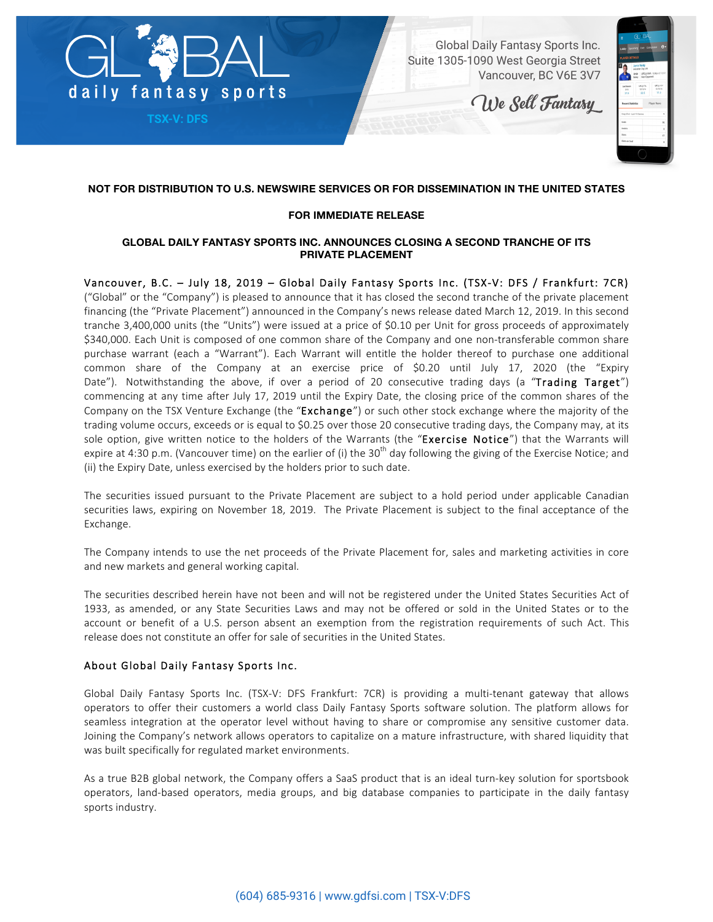

**TSX-V: DFS**

Global Daily Fantasy Sports Inc. Suite 1305-1090 West Georgia Street Vancouver, BC V6E 3V7

We Sell Fantasy



# **NOT FOR DISTRIBUTION TO U.S. NEWSWIRE SERVICES OR FOR DISSEMINATION IN THE UNITED STATES**

#### **FOR IMMEDIATE RELEASE**

#### **GLOBAL DAILY FANTASY SPORTS INC. ANNOUNCES CLOSING A SECOND TRANCHE OF ITS PRIVATE PLACEMENT**

Vancouver, B.C. – July 18, 2019 – Global Daily Fantasy Sports Inc. (TSX-V: DFS / Frankfurt: 7CR) ("Global" or the "Company") is pleased to announce that it has closed the second tranche of the private placement financing (the "Private Placement") announced in the Company's news release dated March 12, 2019. In this second tranche 3,400,000 units (the "Units") were issued at a price of \$0.10 per Unit for gross proceeds of approximately \$340,000. Each Unit is composed of one common share of the Company and one non-transferable common share purchase warrant (each a "Warrant"). Each Warrant will entitle the holder thereof to purchase one additional common share of the Company at an exercise price of \$0.20 until July 17, 2020 (the "Expiry Date"). Notwithstanding the above, if over a period of 20 consecutive trading days (a "Trading Target") commencing at any time after July 17, 2019 until the Expiry Date, the closing price of the common shares of the Company on the TSX Venture Exchange (the "Exchange") or such other stock exchange where the majority of the trading volume occurs, exceeds or is equal to \$0.25 over those 20 consecutive trading days, the Company may, at its sole option, give written notice to the holders of the Warrants (the "Exercise Notice") that the Warrants will expire at 4:30 p.m. (Vancouver time) on the earlier of (i) the 30<sup>th</sup> day following the giving of the Exercise Notice; and (ii) the Expiry Date, unless exercised by the holders prior to such date.

The securities issued pursuant to the Private Placement are subject to a hold period under applicable Canadian securities laws, expiring on November 18, 2019. The Private Placement is subject to the final acceptance of the Exchange.

The Company intends to use the net proceeds of the Private Placement for, sales and marketing activities in core and new markets and general working capital.

The securities described herein have not been and will not be registered under the United States Securities Act of 1933, as amended, or any State Securities Laws and may not be offered or sold in the United States or to the account or benefit of a U.S. person absent an exemption from the registration requirements of such Act. This release does not constitute an offer for sale of securities in the United States.

## About Global Daily Fantasy Sports Inc.

Global Daily Fantasy Sports Inc. (TSX-V: DFS Frankfurt: 7CR) is providing a multi-tenant gateway that allows operators to offer their customers a world class Daily Fantasy Sports software solution. The platform allows for seamless integration at the operator level without having to share or compromise any sensitive customer data. Joining the Company's network allows operators to capitalize on a mature infrastructure, with shared liquidity that was built specifically for regulated market environments.

As a true B2B global network, the Company offers a SaaS product that is an ideal turn-key solution for sportsbook operators, land-based operators, media groups, and big database companies to participate in the daily fantasy sports industry.